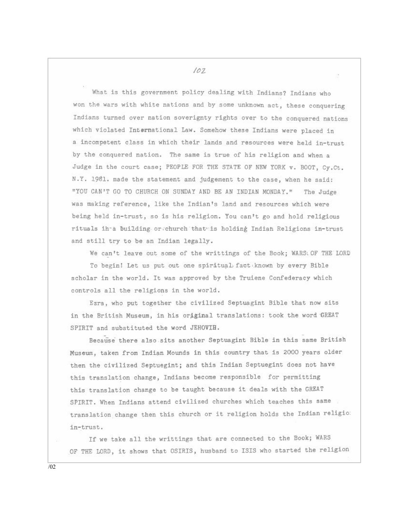$102$ 

What is this government policy dealing with Indians? Indians who won the wars with white nations and by some unknown act, these conquering Indians turned over nation soverignty rights over to the conquered nations which violated International Law. Somehow these Indians were placed in a incompetent class in which their lands and resources were held in-trust by the conquered nation. The same is true of his religion and when a Judge in the court case; PEOPLE FOR THE STATE OF NEW YORK v. BOOT, Cv.Ct. N.Y. 1981. made the statement and judgement to the case, when he said: "YOU CAN'T GO TO CHURCH ON SUNDAY AND BE AN INDIAN MONDAY." The Judge was making reference, like the Indian's land and resources which were being held in-trust, so is his religion. You can't go and hold religious rituals in a building or church that is holding Indian Religions in-trust and still try to be an Indian legally.

We can't leave out some of the writtings of the Book; WARS: OF THE LORD

To begin! Let us put out one spiritual fact known by every Bible scholar in the world. It was approved by the Truiene Confederacy which controls all the religions in the world.

Ezra, who put together the civilized Septuagint Bible that now sits in the British Museum, in his original translations: took the word GREAT SPIRIT and substituted the word JEHOVIH.

Because there also sits another Septuagint Bible in this same British Museum, taken from Indian Mounds in this country that is 2000 years older then the civilized Septuegint; and this Indian Septuegint does not have this translation change, Indians become responsible for permitting this translation change to be taught because it deals with the GREAT SPIRIT. When Indians attend civilized churches which teaches this same translation change then this church or it religion holds the Indian religio: in-trust.

If we take all the writtings that are connected to the Book; WARS OF THE LORD, it shows that OSIRIS, husband to ISIS who started the religion